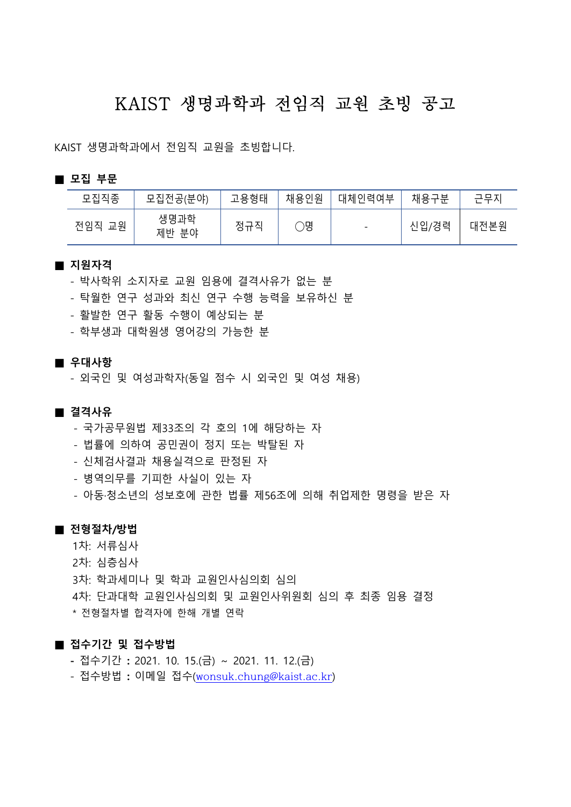# KAIST 생명과학과 전임직 교원 초빙 공고

KAIST 생명과학과에서 전임직 교원을 초빙합니다.

#### **■ 모집 부문**

| 모집직종      | 모집전공(분야)      | 고용형태 | 채용인원 | 대체인력여부                   | 채용구분<br>匸 | 그ㅁᆏ  |
|-----------|---------------|------|------|--------------------------|-----------|------|
| 전임직<br>교원 | 생명과학<br>제반 분야 | 정규직  | Эg   | $\overline{\phantom{0}}$ | 신입/경력     | 대전본원 |

#### **■ 지원자격**

- 박사학위 소지자로 교원 임용에 결격사유가 없는 분
- 탁월한 연구 성과와 최신 연구 수행 능력을 보유하신 분
- 활발한 연구 활동 수행이 예상되는 분
- 학부생과 대학원생 영어강의 가능한 분

#### **■ 우대사항**

- 외국인 및 여성과학자(동일 점수 시 외국인 및 여성 채용)

#### **■ 결격사유**

- 국가공무원법 제33조의 각 호의 1에 해당하는 자
- 법률에 의하여 공민권이 정지 또는 박탈된 자
- 신체검사결과 채용실격으로 판정된 자
- 병역의무를 기피한 사실이 있는 자
- 아동·청소년의 성보호에 관한 법률 제56조에 의해 취업제한 명령을 받은 자

#### **■ 전형절차/방법**

- 1차: 서류심사
- 2차: 심층심사
- 3차: 학과세미나 및 학과 교원인사심의회 심의
- 4차: 단과대학 교원인사심의회 및 교원인사위원회 심의 후 최종 임용 결정
- \* 전형절차별 합격자에 한해 개별 연락

### **■ 접수기간 및 접수방법**

- 접수기간 **:** 2021. 10. 15.(금) ~ 2021. 11. 12.(금)
- 접수방법 **:** 이메일 접수([wonsuk.chung@kaist.ac.kr](mailto:wonsuk.chung@kaist.ac.kr))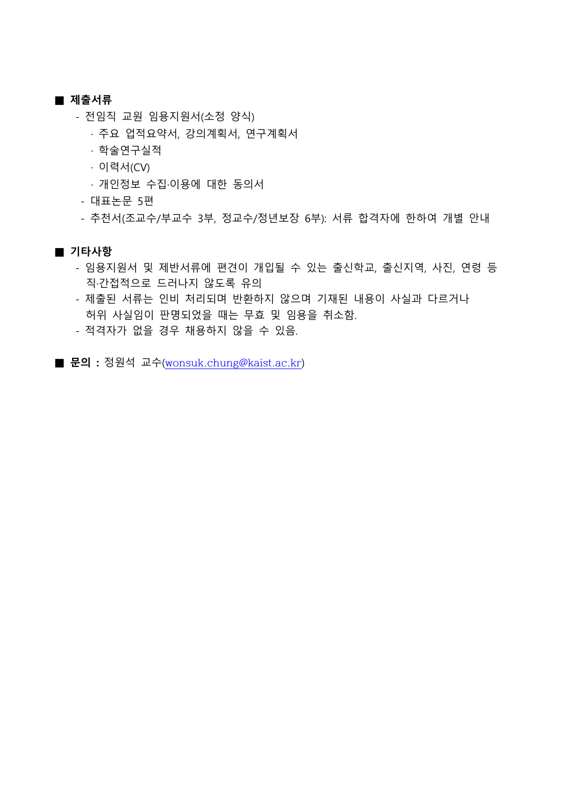#### **■ 제출서류**

- 
- 전임직 교원 임용지원서(소정 양식)<br>· 주요 업적요약서, 강의계획서, 연구계획서
	- · 학술연구실적
	- · 이력서(CV)
	- · 개인정보 수집·이용에 대한 동의서
- 대표논문 5편
- 추천서(조교수/부교수 3부, 정교수/정년보장 6부): 서류 합격자에 한하여 개별 안내

### **■ 기타사항**

- 임용지원서 및 제반서류에 편견이 개입될 수 있는 출신학교, 출신지역, 사진, 연령 등 직·간접적으로 드러나지 않도록 유의
- 제출된 서류는 인비 처리되며 반환하지 않으며 기재된 내용이 사실과 다르거나 허위 사실임이 판명되었을 때는 무효 및 임용을 취소함.
- 적격자가 없을 경우 채용하지 않을 수 있음.
- **문의 :** 정원석 교수([wonsuk.chung@kaist.ac.kr](mailto:wonsuk.chung@kaist.ac.kr))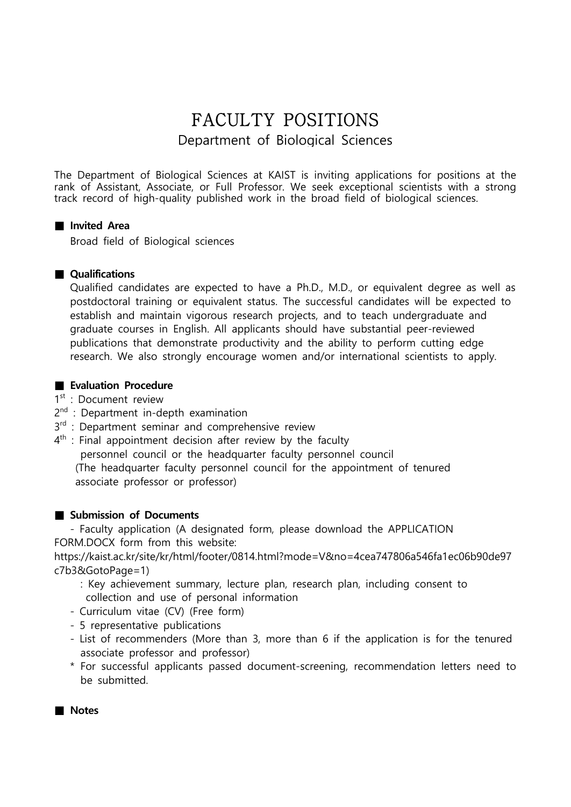## FACULTY POSITIONS Department of Biological Sciences

The Department of Biological Sciences at KAIST is inviting applications for positions at the rank of Assistant, Associate, or Full Professor. We seek exceptional scientists with a strong track record of high-quality published work in the broad field of biological sciences.

### **■ Invited Area**

Broad field of Biological sciences

### **■ Qualifications**

Qualified candidates are expected to have a Ph.D., M.D., or equivalent degree as well as postdoctoral training or equivalent status. The successful candidates will be expected to establish and maintain vigorous research projects, and to teach undergraduate and graduate courses in English. All applicants should have substantial peer-reviewed publications that demonstrate productivity and the ability to perform cutting edge research. We also strongly encourage women and/or international scientists to apply.

### ■ Evaluation Procedure

1st : Document review

- 2<sup>nd</sup> : Department in-depth examination
- 3<sup>rd</sup> : Department seminar and comprehensive review
- 4<sup>th</sup> : Final appointment decision after review by the faculty personnel council or the headquarter faculty personnel council (The headquarter faculty personnel council for the appointment of tenured

associate professor or professor)

### ■ Submission of Documents

 - Faculty application (A designated form, please download the APPLICATION FORM.DOCX form from this website:

https://kaist.ac.kr/site/kr/html/footer/0814.html?mode=V&no=4cea747806a546fa1ec06b90de97 c7b3&GotoPage=1)<br>
: Key achievement summary, lecture plan, research plan, including consent to

- collection and use of personal information
- Curriculum vitae (CV) (Free form) 5 representative publications
- 
- List of recommenders (More than 3, more than 6 if the application is for the tenured associate professor and professor)
- \* For successful applicants passed document-screening, recommendation letters need to be submitted.